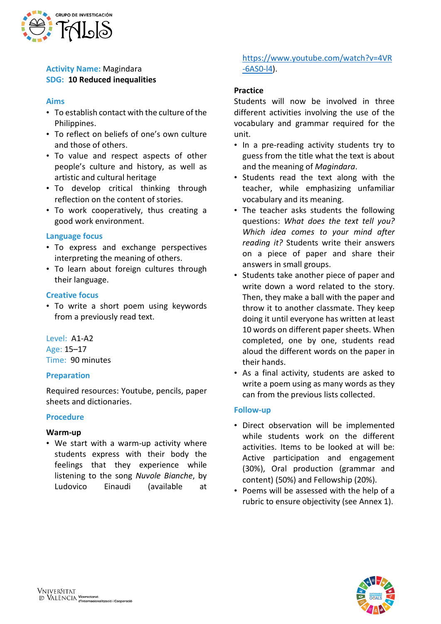

# **Activity Name:** Magindara **SDG: 10 Reduced inequalities**

### **Aims**

- To establish contact with the culture of the Philippines.
- To reflect on beliefs of one's own culture and those of others.
- To value and respect aspects of other people's culture and history, as well as artistic and cultural heritage
- To develop critical thinking through reflection on the content of stories.
- To work cooperatively, thus creating a good work environment.

#### **Language focus**

- To express and exchange perspectives interpreting the meaning of others.
- To learn about foreign cultures through their language.

### **Creative focus**

• To write a short poem using keywords from a previously read text.

Level: A1-A2 Age: 15–17 Time: 90 minutes

### **Preparation**

Required resources: Youtube, pencils, paper sheets and dictionaries.

#### **Procedure**

### **Warm-up**

• We start with a warm-up activity where students express with their body the feelings that they experience while listening to the song *Nuvole Bianche*, by Ludovico Einaudi (available at

# [https://www.youtube.com/watch?v=4VR](https://www.youtube.com/watch?v=4VR-6AS0-l4) [-6AS0-l4\)](https://www.youtube.com/watch?v=4VR-6AS0-l4).

### **Practice**

Students will now be involved in three different activities involving the use of the vocabulary and grammar required for the unit.

- In a pre-reading activity students try to guess from the title what the text is about and the meaning of *Magindara*.
- Students read the text along with the teacher, while emphasizing unfamiliar vocabulary and its meaning.
- The teacher asks students the following questions: *What does the text tell you? Which idea comes to your mind after reading it?* Students write their answers on a piece of paper and share their answers in small groups.
- Students take another piece of paper and write down a word related to the story. Then, they make a ball with the paper and throw it to another classmate. They keep doing it until everyone has written at least 10 words on different paper sheets. When completed, one by one, students read aloud the different words on the paper in their hands.
- As a final activity, students are asked to write a poem using as many words as they can from the previous lists collected.

### **Follow-up**

- Direct observation will be implemented while students work on the different activities. Items to be looked at will be: Active participation and engagement (30%), Oral production (grammar and content) (50%) and Fellowship (20%).
- Poems will be assessed with the help of a rubric to ensure objectivity (see Annex 1).